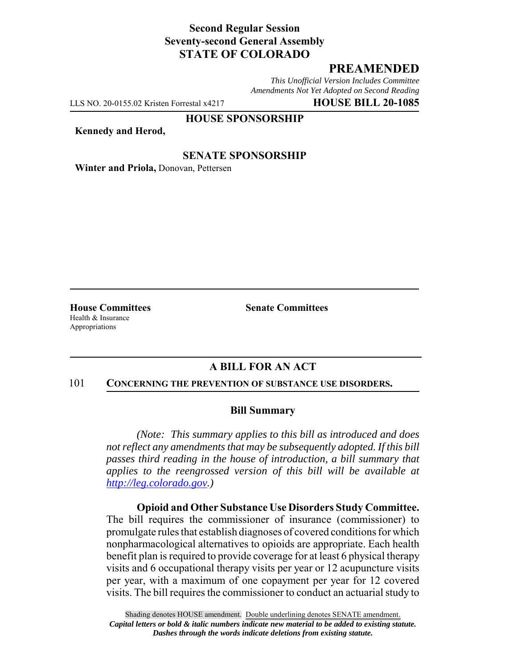# **Second Regular Session Seventy-second General Assembly STATE OF COLORADO**

# **PREAMENDED**

*This Unofficial Version Includes Committee Amendments Not Yet Adopted on Second Reading*

LLS NO. 20-0155.02 Kristen Forrestal x4217 **HOUSE BILL 20-1085**

#### **HOUSE SPONSORSHIP**

**Kennedy and Herod,**

### **SENATE SPONSORSHIP**

**Winter and Priola,** Donovan, Pettersen

Health & Insurance Appropriations

**House Committees Senate Committees** 

### **A BILL FOR AN ACT**

#### 101 **CONCERNING THE PREVENTION OF SUBSTANCE USE DISORDERS.**

### **Bill Summary**

*(Note: This summary applies to this bill as introduced and does not reflect any amendments that may be subsequently adopted. If this bill passes third reading in the house of introduction, a bill summary that applies to the reengrossed version of this bill will be available at http://leg.colorado.gov.)*

**Opioid and Other Substance Use Disorders Study Committee.** The bill requires the commissioner of insurance (commissioner) to promulgate rules that establish diagnoses of covered conditions for which nonpharmacological alternatives to opioids are appropriate. Each health benefit plan is required to provide coverage for at least 6 physical therapy visits and 6 occupational therapy visits per year or 12 acupuncture visits per year, with a maximum of one copayment per year for 12 covered visits. The bill requires the commissioner to conduct an actuarial study to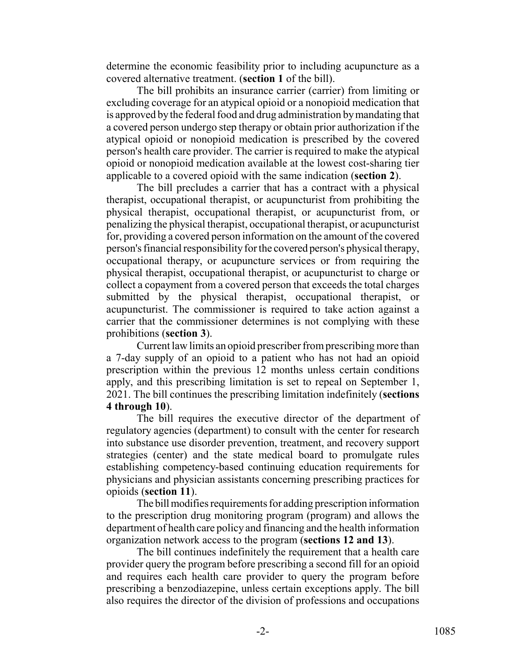determine the economic feasibility prior to including acupuncture as a covered alternative treatment. (**section 1** of the bill).

The bill prohibits an insurance carrier (carrier) from limiting or excluding coverage for an atypical opioid or a nonopioid medication that is approved by the federal food and drug administration by mandating that a covered person undergo step therapy or obtain prior authorization if the atypical opioid or nonopioid medication is prescribed by the covered person's health care provider. The carrier is required to make the atypical opioid or nonopioid medication available at the lowest cost-sharing tier applicable to a covered opioid with the same indication (**section 2**).

The bill precludes a carrier that has a contract with a physical therapist, occupational therapist, or acupuncturist from prohibiting the physical therapist, occupational therapist, or acupuncturist from, or penalizing the physical therapist, occupational therapist, or acupuncturist for, providing a covered person information on the amount of the covered person's financial responsibility for the covered person's physical therapy, occupational therapy, or acupuncture services or from requiring the physical therapist, occupational therapist, or acupuncturist to charge or collect a copayment from a covered person that exceeds the total charges submitted by the physical therapist, occupational therapist, or acupuncturist. The commissioner is required to take action against a carrier that the commissioner determines is not complying with these prohibitions (**section 3**).

Current law limits an opioid prescriber from prescribing more than a 7-day supply of an opioid to a patient who has not had an opioid prescription within the previous 12 months unless certain conditions apply, and this prescribing limitation is set to repeal on September 1, 2021. The bill continues the prescribing limitation indefinitely (**sections 4 through 10**).

The bill requires the executive director of the department of regulatory agencies (department) to consult with the center for research into substance use disorder prevention, treatment, and recovery support strategies (center) and the state medical board to promulgate rules establishing competency-based continuing education requirements for physicians and physician assistants concerning prescribing practices for opioids (**section 11**).

The bill modifies requirements for adding prescription information to the prescription drug monitoring program (program) and allows the department of health care policy and financing and the health information organization network access to the program (**sections 12 and 13**).

The bill continues indefinitely the requirement that a health care provider query the program before prescribing a second fill for an opioid and requires each health care provider to query the program before prescribing a benzodiazepine, unless certain exceptions apply. The bill also requires the director of the division of professions and occupations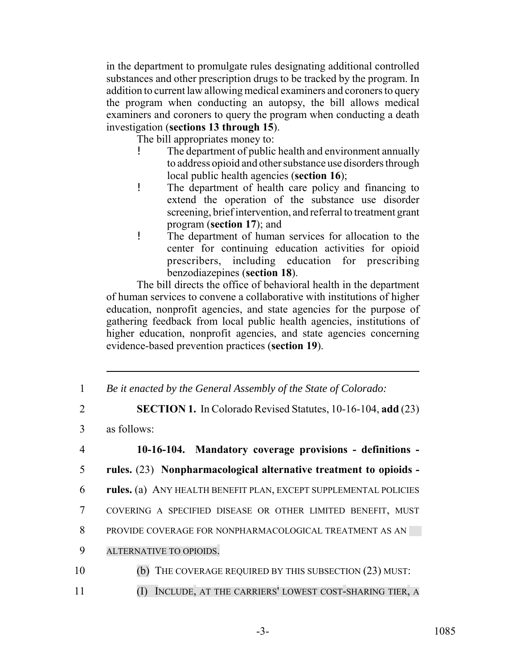in the department to promulgate rules designating additional controlled substances and other prescription drugs to be tracked by the program. In addition to current law allowing medical examiners and coroners to query the program when conducting an autopsy, the bill allows medical examiners and coroners to query the program when conducting a death investigation (**sections 13 through 15**).

The bill appropriates money to:

- The department of public health and environment annually to address opioid and other substance use disorders through local public health agencies (**section 16**);
- ! The department of health care policy and financing to extend the operation of the substance use disorder screening, brief intervention, and referral to treatment grant program (**section 17**); and
- ! The department of human services for allocation to the center for continuing education activities for opioid prescribers, including education for prescribing benzodiazepines (**section 18**).

The bill directs the office of behavioral health in the department of human services to convene a collaborative with institutions of higher education, nonprofit agencies, and state agencies for the purpose of gathering feedback from local public health agencies, institutions of higher education, nonprofit agencies, and state agencies concerning evidence-based prevention practices (**section 19**).

- 1 *Be it enacted by the General Assembly of the State of Colorado:*
- 2 **SECTION 1.** In Colorado Revised Statutes, 10-16-104, **add** (23)
- 3 as follows:
- 4 **10-16-104. Mandatory coverage provisions definitions -** 5 **rules.** (23) **Nonpharmacological alternative treatment to opioids -** 6 **rules.** (a) ANY HEALTH BENEFIT PLAN, EXCEPT SUPPLEMENTAL POLICIES 7 COVERING A SPECIFIED DISEASE OR OTHER LIMITED BENEFIT, MUST 8 PROVIDE COVERAGE FOR NONPHARMACOLOGICAL TREATMENT AS AN 9 ALTERNATIVE TO OPIOIDS. 10 (b) THE COVERAGE REQUIRED BY THIS SUBSECTION (23) MUST:
- 11 (I) INCLUDE, AT THE CARRIERS' LOWEST COST-SHARING TIER, A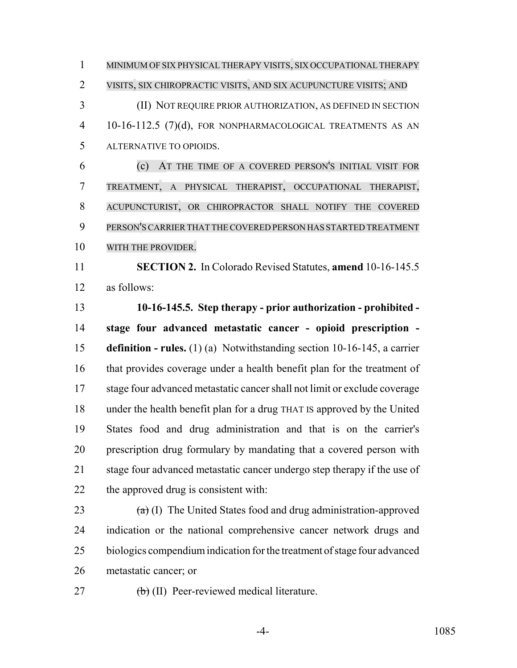MINIMUM OF SIX PHYSICAL THERAPY VISITS, SIX OCCUPATIONAL THERAPY VISITS, SIX CHIROPRACTIC VISITS, AND SIX ACUPUNCTURE VISITS; AND (II) NOT REQUIRE PRIOR AUTHORIZATION, AS DEFINED IN SECTION

 10-16-112.5 (7)(d), FOR NONPHARMACOLOGICAL TREATMENTS AS AN ALTERNATIVE TO OPIOIDS.

 (c) AT THE TIME OF A COVERED PERSON'S INITIAL VISIT FOR TREATMENT, A PHYSICAL THERAPIST, OCCUPATIONAL THERAPIST, ACUPUNCTURIST, OR CHIROPRACTOR SHALL NOTIFY THE COVERED PERSON'SCARRIERTHAT THE COVERED PERSON HAS STARTED TREATMENT WITH THE PROVIDER.

 **SECTION 2.** In Colorado Revised Statutes, **amend** 10-16-145.5 as follows:

 **10-16-145.5. Step therapy - prior authorization - prohibited - stage four advanced metastatic cancer - opioid prescription - definition - rules.** (1) (a) Notwithstanding section 10-16-145, a carrier that provides coverage under a health benefit plan for the treatment of stage four advanced metastatic cancer shall not limit or exclude coverage under the health benefit plan for a drug THAT IS approved by the United States food and drug administration and that is on the carrier's prescription drug formulary by mandating that a covered person with stage four advanced metastatic cancer undergo step therapy if the use of the approved drug is consistent with:

 $(a)$  (I) The United States food and drug administration-approved indication or the national comprehensive cancer network drugs and biologics compendium indication for the treatment of stage four advanced metastatic cancer; or

27 (b) (II) Peer-reviewed medical literature.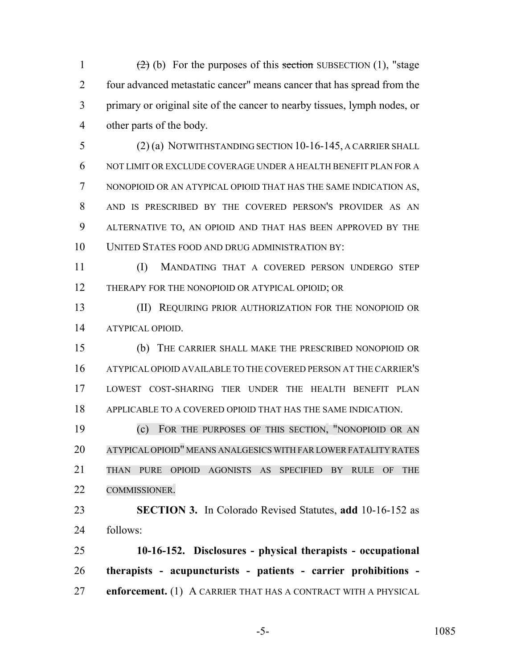$(2)$  (b) For the purposes of this section SUBSECTION (1), "stage four advanced metastatic cancer" means cancer that has spread from the primary or original site of the cancer to nearby tissues, lymph nodes, or other parts of the body.

 (2) (a) NOTWITHSTANDING SECTION 10-16-145, A CARRIER SHALL NOT LIMIT OR EXCLUDE COVERAGE UNDER A HEALTH BENEFIT PLAN FOR A NONOPIOID OR AN ATYPICAL OPIOID THAT HAS THE SAME INDICATION AS, AND IS PRESCRIBED BY THE COVERED PERSON'S PROVIDER AS AN ALTERNATIVE TO, AN OPIOID AND THAT HAS BEEN APPROVED BY THE UNITED STATES FOOD AND DRUG ADMINISTRATION BY:

 (I) MANDATING THAT A COVERED PERSON UNDERGO STEP THERAPY FOR THE NONOPIOID OR ATYPICAL OPIOID; OR

 (II) REQUIRING PRIOR AUTHORIZATION FOR THE NONOPIOID OR ATYPICAL OPIOID.

 (b) THE CARRIER SHALL MAKE THE PRESCRIBED NONOPIOID OR ATYPICAL OPIOID AVAILABLE TO THE COVERED PERSON AT THE CARRIER'S LOWEST COST-SHARING TIER UNDER THE HEALTH BENEFIT PLAN APPLICABLE TO A COVERED OPIOID THAT HAS THE SAME INDICATION.

 (c) FOR THE PURPOSES OF THIS SECTION, "NONOPIOID OR AN ATYPICAL OPIOID" MEANS ANALGESICS WITH FARLOWERFATALITY RATES THAN PURE OPIOID AGONISTS AS SPECIFIED BY RULE OF THE COMMISSIONER.

 **SECTION 3.** In Colorado Revised Statutes, **add** 10-16-152 as follows:

 **10-16-152. Disclosures - physical therapists - occupational therapists - acupuncturists - patients - carrier prohibitions - enforcement.** (1) A CARRIER THAT HAS A CONTRACT WITH A PHYSICAL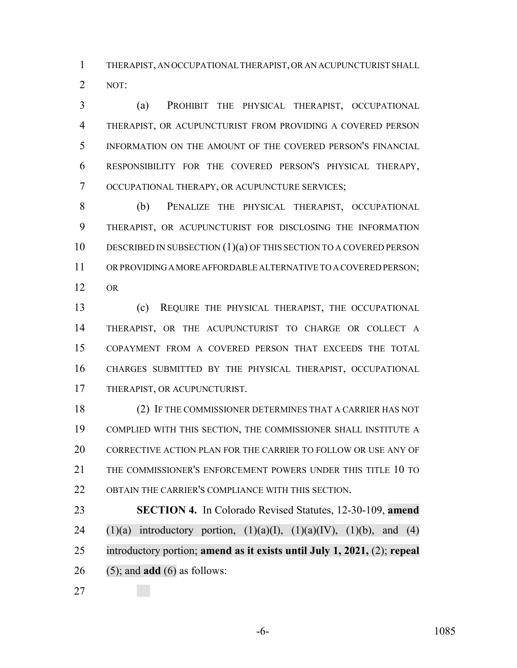THERAPIST, AN OCCUPATIONAL THERAPIST, OR AN ACUPUNCTURIST SHALL NOT:

 (a) PROHIBIT THE PHYSICAL THERAPIST, OCCUPATIONAL THERAPIST, OR ACUPUNCTURIST FROM PROVIDING A COVERED PERSON INFORMATION ON THE AMOUNT OF THE COVERED PERSON'S FINANCIAL RESPONSIBILITY FOR THE COVERED PERSON'S PHYSICAL THERAPY, OCCUPATIONAL THERAPY, OR ACUPUNCTURE SERVICES;

 (b) PENALIZE THE PHYSICAL THERAPIST, OCCUPATIONAL THERAPIST, OR ACUPUNCTURIST FOR DISCLOSING THE INFORMATION 10 DESCRIBED IN SUBSECTION (1)(a) OF THIS SECTION TO A COVERED PERSON OR PROVIDING A MORE AFFORDABLE ALTERNATIVE TO A COVERED PERSON; OR

 (c) REQUIRE THE PHYSICAL THERAPIST, THE OCCUPATIONAL THERAPIST, OR THE ACUPUNCTURIST TO CHARGE OR COLLECT A COPAYMENT FROM A COVERED PERSON THAT EXCEEDS THE TOTAL CHARGES SUBMITTED BY THE PHYSICAL THERAPIST, OCCUPATIONAL THERAPIST, OR ACUPUNCTURIST.

 (2) IF THE COMMISSIONER DETERMINES THAT A CARRIER HAS NOT COMPLIED WITH THIS SECTION, THE COMMISSIONER SHALL INSTITUTE A CORRECTIVE ACTION PLAN FOR THE CARRIER TO FOLLOW OR USE ANY OF THE COMMISSIONER'S ENFORCEMENT POWERS UNDER THIS TITLE 10 TO OBTAIN THE CARRIER'S COMPLIANCE WITH THIS SECTION.

 **SECTION 4.** In Colorado Revised Statutes, 12-30-109, **amend** 24 (1)(a) introductory portion,  $(1)(a)(I)$ ,  $(1)(a)(IV)$ ,  $(1)(b)$ , and  $(4)$  introductory portion; **amend as it exists until July 1, 2021,** (2); **repeal** (5); and **add** (6) as follows:

-6- 1085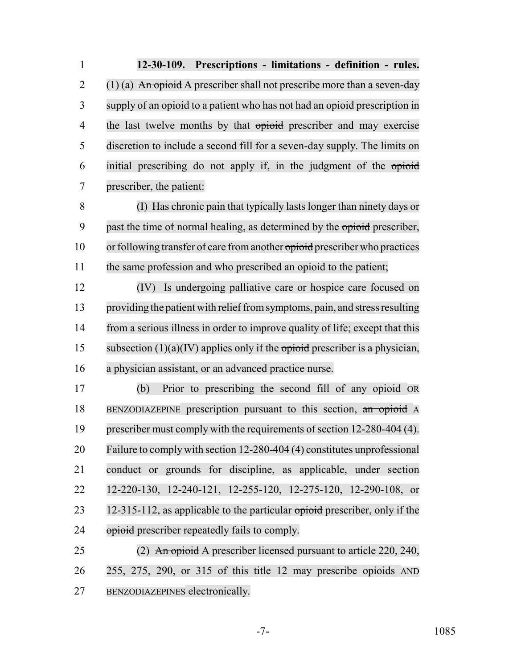**12-30-109. Prescriptions - limitations - definition - rules.** 2 (1) (a) An opioid A prescriber shall not prescribe more than a seven-day supply of an opioid to a patient who has not had an opioid prescription in 4 the last twelve months by that opioid prescriber and may exercise discretion to include a second fill for a seven-day supply. The limits on initial prescribing do not apply if, in the judgment of the opioid prescriber, the patient:

 (I) Has chronic pain that typically lasts longer than ninety days or 9 past the time of normal healing, as determined by the opioid prescriber, 10 or following transfer of care from another opioid prescriber who practices the same profession and who prescribed an opioid to the patient;

 (IV) Is undergoing palliative care or hospice care focused on 13 providing the patient with relief from symptoms, pain, and stress resulting from a serious illness in order to improve quality of life; except that this 15 subsection  $(1)(a)(IV)$  applies only if the opioid prescriber is a physician, a physician assistant, or an advanced practice nurse.

 (b) Prior to prescribing the second fill of any opioid OR BENZODIAZEPINE prescription pursuant to this section, an opioid A prescriber must comply with the requirements of section 12-280-404 (4). Failure to comply with section 12-280-404 (4) constitutes unprofessional conduct or grounds for discipline, as applicable, under section 12-220-130, 12-240-121, 12-255-120, 12-275-120, 12-290-108, or 23 12-315-112, as applicable to the particular opioid prescriber, only if the 24 opioid prescriber repeatedly fails to comply.

25 (2) An opioid A prescriber licensed pursuant to article 220, 240, 255, 275, 290, or 315 of this title 12 may prescribe opioids AND BENZODIAZEPINES electronically.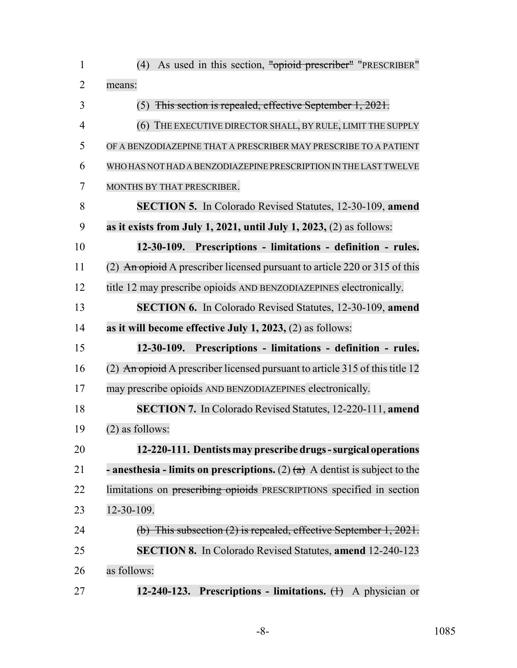| $\mathbf{1}$   | As used in this section, "opioid prescriber" "PRESCRIBER"<br>(4)                     |
|----------------|--------------------------------------------------------------------------------------|
| $\overline{2}$ | means:                                                                               |
| 3              | $(5)$ This section is repealed, effective September 1, 2021.                         |
| $\overline{4}$ | (6) THE EXECUTIVE DIRECTOR SHALL, BY RULE, LIMIT THE SUPPLY                          |
| 5              | OF A BENZODIAZEPINE THAT A PRESCRIBER MAY PRESCRIBE TO A PATIENT                     |
| 6              | WHO HAS NOT HAD A BENZODIAZEPINE PRESCRIPTION IN THE LAST TWELVE                     |
| 7              | MONTHS BY THAT PRESCRIBER.                                                           |
| 8              | <b>SECTION 5.</b> In Colorado Revised Statutes, 12-30-109, amend                     |
| 9              | as it exists from July 1, 2021, until July 1, 2023, $(2)$ as follows:                |
| 10             | 12-30-109. Prescriptions - limitations - definition - rules.                         |
| 11             | (2) An opioid A prescriber licensed pursuant to article 220 or 315 of this           |
| 12             | title 12 may prescribe opioids AND BENZODIAZEPINES electronically.                   |
| 13             | <b>SECTION 6.</b> In Colorado Revised Statutes, 12-30-109, amend                     |
| 14             | as it will become effective July 1, 2023, $(2)$ as follows:                          |
| 15             | 12-30-109. Prescriptions - limitations - definition - rules.                         |
| 16             | (2) An opioid A prescriber licensed pursuant to article 315 of this title 12         |
| 17             | may prescribe opioids AND BENZODIAZEPINES electronically.                            |
| 18             | SECTION 7. In Colorado Revised Statutes, 12-220-111, amend                           |
| 19             | $(2)$ as follows:                                                                    |
| 20             | 12-220-111. Dentists may prescribe drugs - surgical operations                       |
| 21             | <b>- anesthesia - limits on prescriptions.</b> (2) $(a)$ A dentist is subject to the |
| 22             | limitations on prescribing opioids PRESCRIPTIONS specified in section                |
| 23             | 12-30-109.                                                                           |
| 24             | (b) This subsection $(2)$ is repealed, effective September 1, 2021.                  |
| 25             | <b>SECTION 8.</b> In Colorado Revised Statutes, amend 12-240-123                     |
| 26             | as follows:                                                                          |
| 27             | 12-240-123. Prescriptions - limitations. $(+)$ A physician or                        |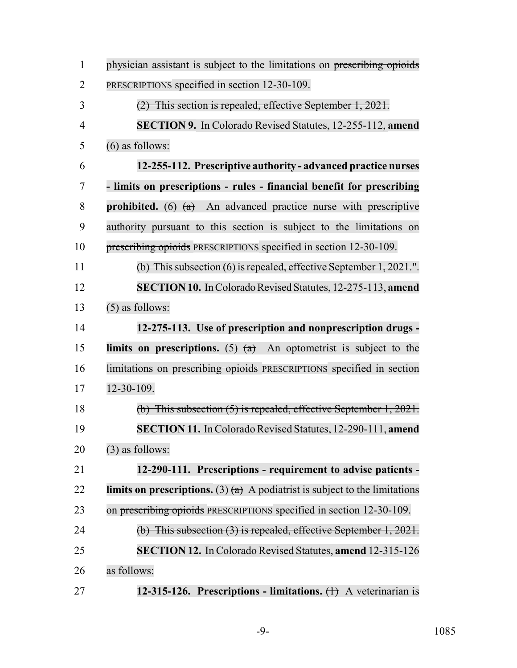| $\mathbf{1}$   | physician assistant is subject to the limitations on prescribing opioids             |
|----------------|--------------------------------------------------------------------------------------|
| $\overline{2}$ | PRESCRIPTIONS specified in section 12-30-109.                                        |
| 3              | (2) This section is repealed, effective September 1, 2021.                           |
| $\overline{4}$ | <b>SECTION 9.</b> In Colorado Revised Statutes, 12-255-112, amend                    |
| 5              | $(6)$ as follows:                                                                    |
| 6              | 12-255-112. Prescriptive authority - advanced practice nurses                        |
| 7              | - limits on prescriptions - rules - financial benefit for prescribing                |
| 8              | <b>prohibited.</b> (6) $(a)$ An advanced practice nurse with prescriptive            |
| 9              | authority pursuant to this section is subject to the limitations on                  |
| 10             | prescribing opioids PRESCRIPTIONS specified in section 12-30-109.                    |
| 11             | (b) This subsection $(6)$ is repealed, effective September 1, 2021.".                |
| 12             | <b>SECTION 10.</b> In Colorado Revised Statutes, 12-275-113, amend                   |
| 13             | $(5)$ as follows:                                                                    |
| 14             | 12-275-113. Use of prescription and nonprescription drugs -                          |
| 15             | limits on prescriptions. (5) $(a)$ An optometrist is subject to the                  |
| 16             | limitations on prescribing opioids PRESCRIPTIONS specified in section                |
| 17             | 12-30-109.                                                                           |
| 18             | (b) This subsection $(5)$ is repealed, effective September 1, 2021.                  |
| 19             | <b>SECTION 11.</b> In Colorado Revised Statutes, 12-290-111, amend                   |
| 20             | $(3)$ as follows:                                                                    |
| 21             | 12-290-111. Prescriptions - requirement to advise patients -                         |
| 22             | <b>limits on prescriptions.</b> (3) $(a)$ A podiatrist is subject to the limitations |
| 23             | on prescribing opioids PRESCRIPTIONS specified in section 12-30-109.                 |
| 24             | $(b)$ This subsection $(3)$ is repealed, effective September 1, 2021.                |
| 25             | <b>SECTION 12.</b> In Colorado Revised Statutes, amend 12-315-126                    |
| 26             | as follows:                                                                          |
| 27             | 12-315-126. Prescriptions - limitations. $(+)$ A veterinarian is                     |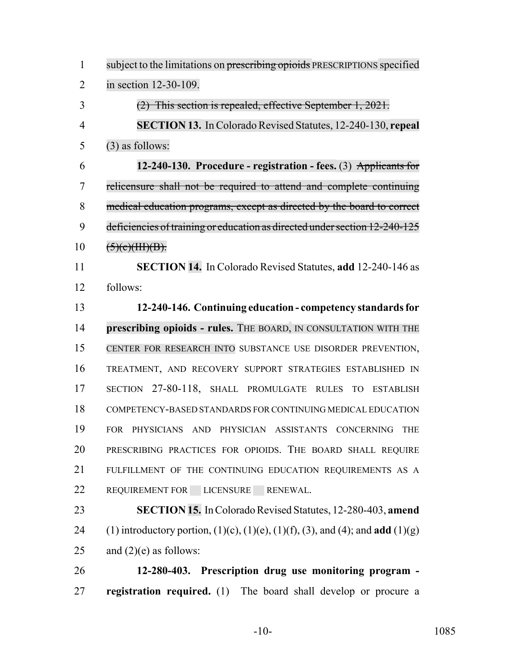| $\mathbf{1}$   | subject to the limitations on prescribing opioids PRESCRIPTIONS specified                              |
|----------------|--------------------------------------------------------------------------------------------------------|
| $\overline{2}$ | in section 12-30-109.                                                                                  |
| 3              | $(2)$ This section is repealed, effective September 1, 2021.                                           |
| $\overline{4}$ | <b>SECTION 13.</b> In Colorado Revised Statutes, 12-240-130, repeal                                    |
| 5              | $(3)$ as follows:                                                                                      |
| 6              | 12-240-130. Procedure - registration - fees. (3) Applicants for                                        |
| 7              | relicensure shall not be required to attend and complete continuing                                    |
| 8              | medical education programs, except as directed by the board to correct                                 |
| 9              | deficiencies of training or education as directed under section 12-240-125                             |
| 10             | (5)(e)(HH)(B).                                                                                         |
| 11             | <b>SECTION 14.</b> In Colorado Revised Statutes, add 12-240-146 as                                     |
| 12             | follows:                                                                                               |
| 13             | 12-240-146. Continuing education - competency standards for                                            |
| 14             | prescribing opioids - rules. THE BOARD, IN CONSULTATION WITH THE                                       |
| 15             | CENTER FOR RESEARCH INTO SUBSTANCE USE DISORDER PREVENTION,                                            |
| 16             | TREATMENT, AND RECOVERY SUPPORT STRATEGIES ESTABLISHED IN                                              |
| 17             | SECTION 27-80-118, SHALL PROMULGATE RULES TO ESTABLISH                                                 |
| 18             | COMPETENCY-BASED STANDARDS FOR CONTINUING MEDICAL EDUCATION                                            |
| 19             | PHYSICIANS AND PHYSICIAN ASSISTANTS CONCERNING<br><b>FOR</b><br><b>THE</b>                             |
| 20             | PRESCRIBING PRACTICES FOR OPIOIDS. THE BOARD SHALL REQUIRE                                             |
| 21             | FULFILLMENT OF THE CONTINUING EDUCATION REQUIREMENTS AS A                                              |
| 22             | REQUIREMENT FOR LICENSURE RENEWAL.                                                                     |
| 23             | <b>SECTION 15.</b> In Colorado Revised Statutes, 12-280-403, amend                                     |
| 24             | (1) introductory portion, $(1)(c)$ , $(1)(e)$ , $(1)(f)$ , $(3)$ , and $(4)$ ; and <b>add</b> $(1)(g)$ |
| 25             | and $(2)(e)$ as follows:                                                                               |
| 26             | 12-280-403. Prescription drug use monitoring program -                                                 |
| 27             | registration required. (1) The board shall develop or procure a                                        |

-10- 1085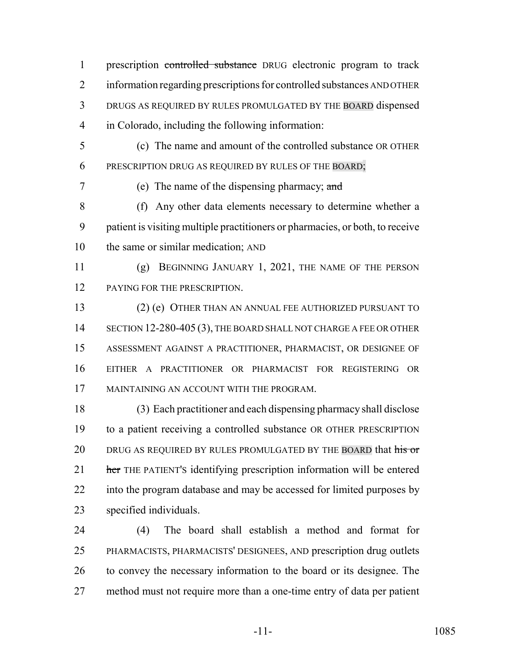prescription controlled substance DRUG electronic program to track information regarding prescriptions for controlled substances AND OTHER DRUGS AS REQUIRED BY RULES PROMULGATED BY THE BOARD dispensed in Colorado, including the following information:

 (c) The name and amount of the controlled substance OR OTHER PRESCRIPTION DRUG AS REQUIRED BY RULES OF THE BOARD;

(e) The name of the dispensing pharmacy; and

 (f) Any other data elements necessary to determine whether a patient is visiting multiple practitioners or pharmacies, or both, to receive the same or similar medication; AND

 (g) BEGINNING JANUARY 1, 2021, THE NAME OF THE PERSON 12 PAYING FOR THE PRESCRIPTION.

 (2) (e) OTHER THAN AN ANNUAL FEE AUTHORIZED PURSUANT TO 14 SECTION 12-280-405 (3), THE BOARD SHALL NOT CHARGE A FEE OR OTHER ASSESSMENT AGAINST A PRACTITIONER, PHARMACIST, OR DESIGNEE OF EITHER A PRACTITIONER OR PHARMACIST FOR REGISTERING OR MAINTAINING AN ACCOUNT WITH THE PROGRAM.

 (3) Each practitioner and each dispensing pharmacy shall disclose to a patient receiving a controlled substance OR OTHER PRESCRIPTION 20 DRUG AS REQUIRED BY RULES PROMULGATED BY THE BOARD that his or 21 her THE PATIENT's identifying prescription information will be entered into the program database and may be accessed for limited purposes by specified individuals.

 (4) The board shall establish a method and format for PHARMACISTS, PHARMACISTS' DESIGNEES, AND prescription drug outlets to convey the necessary information to the board or its designee. The method must not require more than a one-time entry of data per patient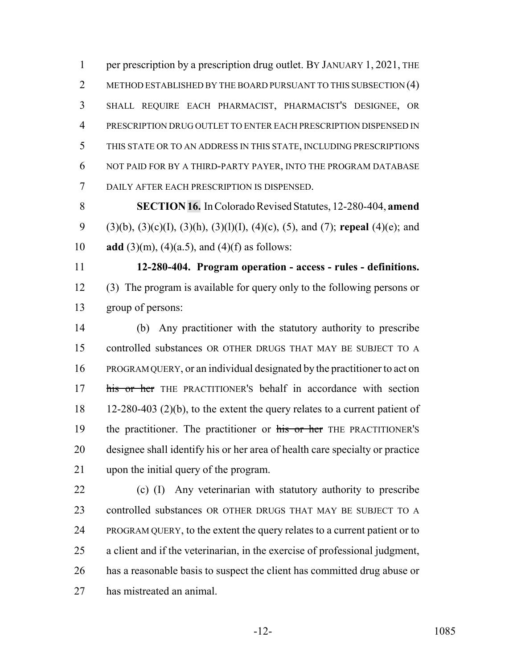1 per prescription by a prescription drug outlet. BY JANUARY 1, 2021, THE 2 METHOD ESTABLISHED BY THE BOARD PURSUANT TO THIS SUBSECTION (4) SHALL REQUIRE EACH PHARMACIST, PHARMACIST'S DESIGNEE, OR PRESCRIPTION DRUG OUTLET TO ENTER EACH PRESCRIPTION DISPENSED IN THIS STATE OR TO AN ADDRESS IN THIS STATE, INCLUDING PRESCRIPTIONS NOT PAID FOR BY A THIRD-PARTY PAYER, INTO THE PROGRAM DATABASE DAILY AFTER EACH PRESCRIPTION IS DISPENSED.

 **SECTION 16.** In Colorado Revised Statutes, 12-280-404, **amend** (3)(b), (3)(c)(I), (3)(h), (3)(l)(I), (4)(c), (5), and (7); **repeal** (4)(e); and **add** (3)(m), (4)(a.5), and (4)(f) as follows:

 **12-280-404. Program operation - access - rules - definitions.** (3) The program is available for query only to the following persons or group of persons:

 (b) Any practitioner with the statutory authority to prescribe controlled substances OR OTHER DRUGS THAT MAY BE SUBJECT TO A PROGRAM QUERY, or an individual designated by the practitioner to act on 17 his or her THE PRACTITIONER's behalf in accordance with section 12-280-403 (2)(b), to the extent the query relates to a current patient of 19 the practitioner. The practitioner or his or her THE PRACTITIONER'S designee shall identify his or her area of health care specialty or practice upon the initial query of the program.

 (c) (I) Any veterinarian with statutory authority to prescribe controlled substances OR OTHER DRUGS THAT MAY BE SUBJECT TO A PROGRAM QUERY, to the extent the query relates to a current patient or to a client and if the veterinarian, in the exercise of professional judgment, has a reasonable basis to suspect the client has committed drug abuse or has mistreated an animal.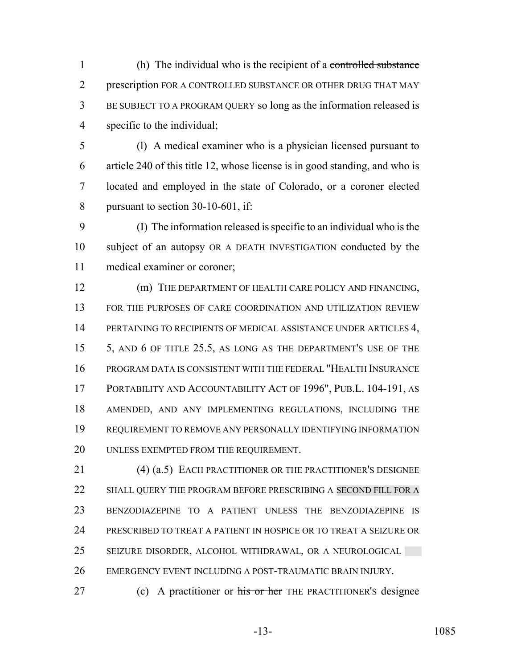(h) The individual who is the recipient of a controlled substance prescription FOR A CONTROLLED SUBSTANCE OR OTHER DRUG THAT MAY BE SUBJECT TO A PROGRAM QUERY so long as the information released is specific to the individual;

 (l) A medical examiner who is a physician licensed pursuant to article 240 of this title 12, whose license is in good standing, and who is located and employed in the state of Colorado, or a coroner elected pursuant to section 30-10-601, if:

 (I) The information released is specific to an individual who is the subject of an autopsy OR A DEATH INVESTIGATION conducted by the medical examiner or coroner;

 (m) THE DEPARTMENT OF HEALTH CARE POLICY AND FINANCING, FOR THE PURPOSES OF CARE COORDINATION AND UTILIZATION REVIEW 14 PERTAINING TO RECIPIENTS OF MEDICAL ASSISTANCE UNDER ARTICLES 4, 5, AND 6 OF TITLE 25.5, AS LONG AS THE DEPARTMENT'S USE OF THE PROGRAM DATA IS CONSISTENT WITH THE FEDERAL "HEALTH INSURANCE PORTABILITY AND ACCOUNTABILITY ACT OF 1996", PUB.L. 104-191, AS AMENDED, AND ANY IMPLEMENTING REGULATIONS, INCLUDING THE REQUIREMENT TO REMOVE ANY PERSONALLY IDENTIFYING INFORMATION UNLESS EXEMPTED FROM THE REQUIREMENT.

 (4) (a.5) EACH PRACTITIONER OR THE PRACTITIONER'S DESIGNEE 22 SHALL QUERY THE PROGRAM BEFORE PRESCRIBING A SECOND FILL FOR A BENZODIAZEPINE TO A PATIENT UNLESS THE BENZODIAZEPINE IS PRESCRIBED TO TREAT A PATIENT IN HOSPICE OR TO TREAT A SEIZURE OR SEIZURE DISORDER, ALCOHOL WITHDRAWAL, OR A NEUROLOGICAL EMERGENCY EVENT INCLUDING A POST-TRAUMATIC BRAIN INJURY.

27 (c) A practitioner or his or her THE PRACTITIONER's designee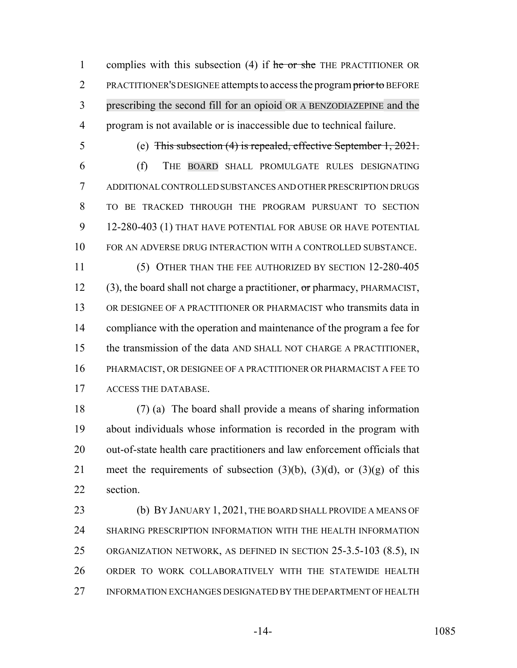1 complies with this subsection  $(4)$  if he or she THE PRACTITIONER OR 2 PRACTITIONER'S DESIGNEE attempts to access the program prior to BEFORE prescribing the second fill for an opioid OR A BENZODIAZEPINE and the program is not available or is inaccessible due to technical failure.

(e) This subsection (4) is repealed, effective September 1, 2021.

 (f) THE BOARD SHALL PROMULGATE RULES DESIGNATING ADDITIONAL CONTROLLED SUBSTANCES AND OTHER PRESCRIPTION DRUGS TO BE TRACKED THROUGH THE PROGRAM PURSUANT TO SECTION 12-280-403 (1) THAT HAVE POTENTIAL FOR ABUSE OR HAVE POTENTIAL FOR AN ADVERSE DRUG INTERACTION WITH A CONTROLLED SUBSTANCE. (5) OTHER THAN THE FEE AUTHORIZED BY SECTION 12-280-405

12 (3), the board shall not charge a practitioner, or pharmacy, PHARMACIST, OR DESIGNEE OF A PRACTITIONER OR PHARMACIST who transmits data in compliance with the operation and maintenance of the program a fee for the transmission of the data AND SHALL NOT CHARGE A PRACTITIONER, PHARMACIST, OR DESIGNEE OF A PRACTITIONER OR PHARMACIST A FEE TO ACCESS THE DATABASE.

 (7) (a) The board shall provide a means of sharing information about individuals whose information is recorded in the program with out-of-state health care practitioners and law enforcement officials that 21 meet the requirements of subsection  $(3)(b)$ ,  $(3)(d)$ , or  $(3)(g)$  of this section.

23 (b) BY JANUARY 1, 2021, THE BOARD SHALL PROVIDE A MEANS OF SHARING PRESCRIPTION INFORMATION WITH THE HEALTH INFORMATION ORGANIZATION NETWORK, AS DEFINED IN SECTION 25-3.5-103 (8.5), IN ORDER TO WORK COLLABORATIVELY WITH THE STATEWIDE HEALTH INFORMATION EXCHANGES DESIGNATED BY THE DEPARTMENT OF HEALTH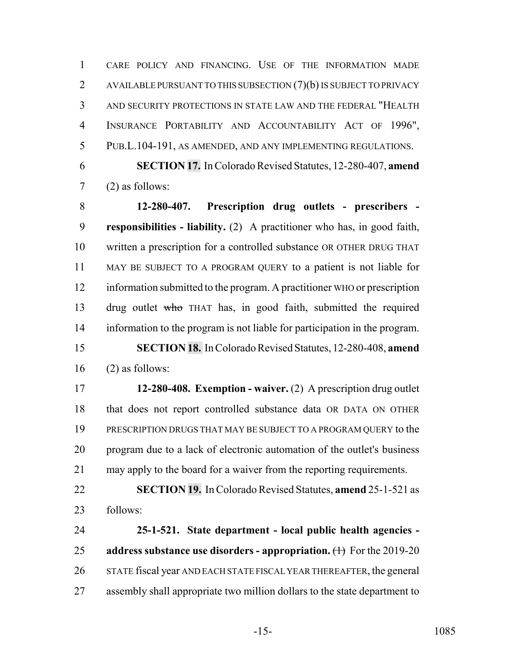CARE POLICY AND FINANCING. USE OF THE INFORMATION MADE 2 AVAILABLE PURSUANT TO THIS SUBSECTION (7)(b) IS SUBJECT TO PRIVACY AND SECURITY PROTECTIONS IN STATE LAW AND THE FEDERAL "HEALTH INSURANCE PORTABILITY AND ACCOUNTABILITY ACT OF 1996", PUB.L.104-191, AS AMENDED, AND ANY IMPLEMENTING REGULATIONS.

 **SECTION 17.** In Colorado Revised Statutes, 12-280-407, **amend** (2) as follows:

 **12-280-407. Prescription drug outlets - prescribers - responsibilities - liability.** (2) A practitioner who has, in good faith, written a prescription for a controlled substance OR OTHER DRUG THAT MAY BE SUBJECT TO A PROGRAM QUERY to a patient is not liable for information submitted to the program. A practitioner WHO or prescription drug outlet who THAT has, in good faith, submitted the required information to the program is not liable for participation in the program. **SECTION 18.** In Colorado Revised Statutes, 12-280-408, **amend** (2) as follows:

 **12-280-408. Exemption - waiver.** (2) A prescription drug outlet that does not report controlled substance data OR DATA ON OTHER PRESCRIPTION DRUGS THAT MAY BE SUBJECT TO A PROGRAM QUERY to the program due to a lack of electronic automation of the outlet's business may apply to the board for a waiver from the reporting requirements.

 **SECTION 19.** In Colorado Revised Statutes, **amend** 25-1-521 as follows:

 **25-1-521. State department - local public health agencies - address substance use disorders - appropriation.** (1) For the 2019-20 STATE fiscal year AND EACH STATE FISCAL YEAR THEREAFTER, the general assembly shall appropriate two million dollars to the state department to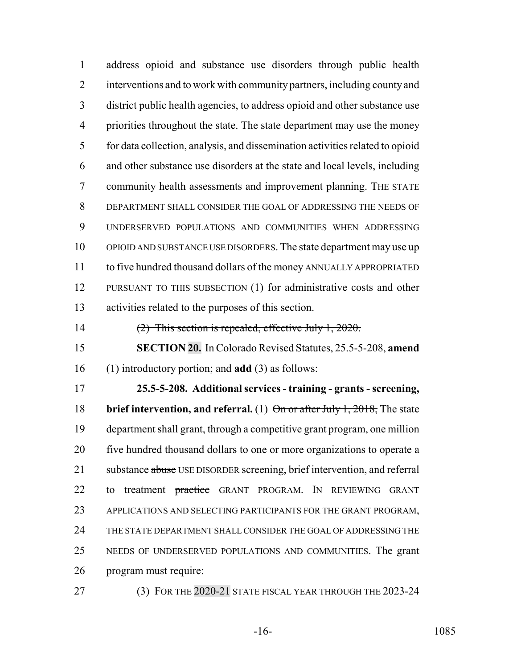address opioid and substance use disorders through public health interventions and to work with community partners, including county and district public health agencies, to address opioid and other substance use priorities throughout the state. The state department may use the money for data collection, analysis, and dissemination activities related to opioid and other substance use disorders at the state and local levels, including community health assessments and improvement planning. THE STATE DEPARTMENT SHALL CONSIDER THE GOAL OF ADDRESSING THE NEEDS OF UNDERSERVED POPULATIONS AND COMMUNITIES WHEN ADDRESSING OPIOID AND SUBSTANCE USE DISORDERS. The state department may use up to five hundred thousand dollars of the money ANNUALLY APPROPRIATED 12 PURSUANT TO THIS SUBSECTION (1) for administrative costs and other activities related to the purposes of this section.

(2) This section is repealed, effective July 1, 2020.

 **SECTION 20.** In Colorado Revised Statutes, 25.5-5-208, **amend** (1) introductory portion; and **add** (3) as follows:

 **25.5-5-208. Additional services - training - grants - screening, brief intervention, and referral.** (1) On or after July 1, 2018, The state department shall grant, through a competitive grant program, one million five hundred thousand dollars to one or more organizations to operate a 21 substance abuse USE DISORDER screening, brief intervention, and referral 22 to treatment practice GRANT PROGRAM. IN REVIEWING GRANT APPLICATIONS AND SELECTING PARTICIPANTS FOR THE GRANT PROGRAM, THE STATE DEPARTMENT SHALL CONSIDER THE GOAL OF ADDRESSING THE NEEDS OF UNDERSERVED POPULATIONS AND COMMUNITIES. The grant program must require:

27 (3) FOR THE 2020-21 STATE FISCAL YEAR THROUGH THE 2023-24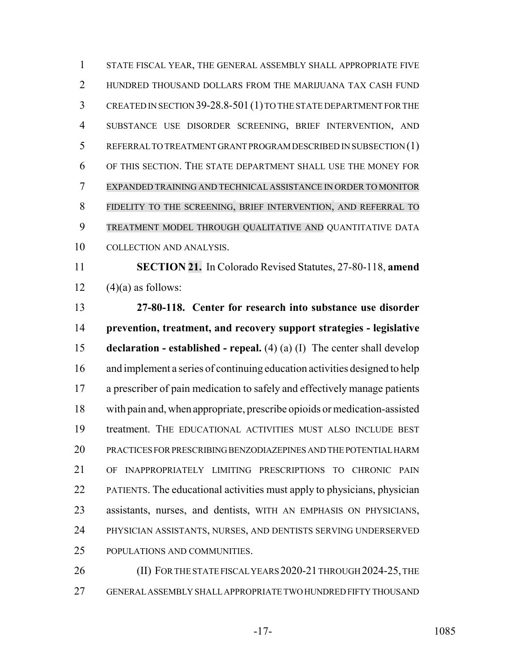STATE FISCAL YEAR, THE GENERAL ASSEMBLY SHALL APPROPRIATE FIVE HUNDRED THOUSAND DOLLARS FROM THE MARIJUANA TAX CASH FUND CREATED IN SECTION 39-28.8-501(1) TO THE STATE DEPARTMENT FOR THE SUBSTANCE USE DISORDER SCREENING, BRIEF INTERVENTION, AND REFERRAL TO TREATMENT GRANT PROGRAM DESCRIBED IN SUBSECTION (1) OF THIS SECTION. THE STATE DEPARTMENT SHALL USE THE MONEY FOR EXPANDED TRAINING AND TECHNICAL ASSISTANCE IN ORDER TO MONITOR FIDELITY TO THE SCREENING, BRIEF INTERVENTION, AND REFERRAL TO TREATMENT MODEL THROUGH QUALITATIVE AND QUANTITATIVE DATA COLLECTION AND ANALYSIS.

 **SECTION 21.** In Colorado Revised Statutes, 27-80-118, **amend** 12  $(4)(a)$  as follows:

 **27-80-118. Center for research into substance use disorder prevention, treatment, and recovery support strategies - legislative declaration - established - repeal.** (4) (a) (I) The center shall develop and implement a series of continuing education activities designed to help a prescriber of pain medication to safely and effectively manage patients with pain and, when appropriate, prescribe opioids or medication-assisted treatment. THE EDUCATIONAL ACTIVITIES MUST ALSO INCLUDE BEST PRACTICES FOR PRESCRIBING BENZODIAZEPINES AND THE POTENTIAL HARM OF INAPPROPRIATELY LIMITING PRESCRIPTIONS TO CHRONIC PAIN PATIENTS. The educational activities must apply to physicians, physician assistants, nurses, and dentists, WITH AN EMPHASIS ON PHYSICIANS, PHYSICIAN ASSISTANTS, NURSES, AND DENTISTS SERVING UNDERSERVED POPULATIONS AND COMMUNITIES.

26 (II) FOR THE STATE FISCAL YEARS 2020-21 THROUGH 2024-25, THE GENERAL ASSEMBLY SHALL APPROPRIATE TWO HUNDRED FIFTY THOUSAND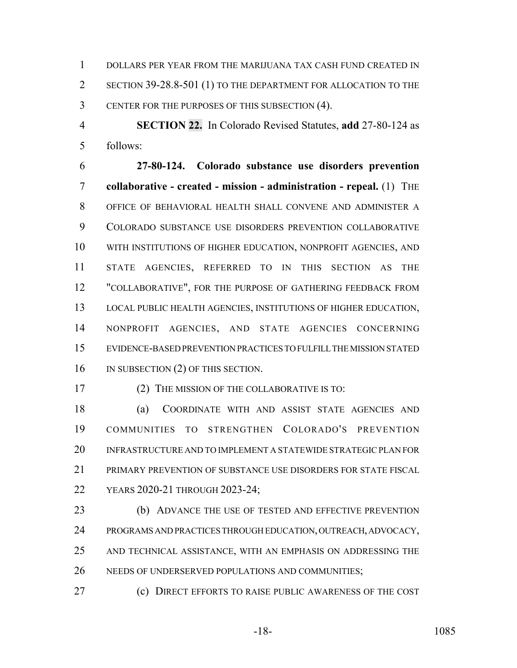DOLLARS PER YEAR FROM THE MARIJUANA TAX CASH FUND CREATED IN SECTION 39-28.8-501 (1) TO THE DEPARTMENT FOR ALLOCATION TO THE CENTER FOR THE PURPOSES OF THIS SUBSECTION (4).

 **SECTION 22.** In Colorado Revised Statutes, **add** 27-80-124 as follows:

 **27-80-124. Colorado substance use disorders prevention collaborative - created - mission - administration - repeal.** (1) THE OFFICE OF BEHAVIORAL HEALTH SHALL CONVENE AND ADMINISTER A COLORADO SUBSTANCE USE DISORDERS PREVENTION COLLABORATIVE WITH INSTITUTIONS OF HIGHER EDUCATION, NONPROFIT AGENCIES, AND STATE AGENCIES, REFERRED TO IN THIS SECTION AS THE 12 "COLLABORATIVE", FOR THE PURPOSE OF GATHERING FEEDBACK FROM LOCAL PUBLIC HEALTH AGENCIES, INSTITUTIONS OF HIGHER EDUCATION, NONPROFIT AGENCIES, AND STATE AGENCIES CONCERNING EVIDENCE-BASED PREVENTION PRACTICES TO FULFILL THE MISSION STATED 16 IN SUBSECTION (2) OF THIS SECTION.

(2) THE MISSION OF THE COLLABORATIVE IS TO:

 (a) COORDINATE WITH AND ASSIST STATE AGENCIES AND COMMUNITIES TO STRENGTHEN COLORADO'S PREVENTION INFRASTRUCTURE AND TO IMPLEMENT A STATEWIDE STRATEGIC PLAN FOR PRIMARY PREVENTION OF SUBSTANCE USE DISORDERS FOR STATE FISCAL YEARS 2020-21 THROUGH 2023-24;

23 (b) ADVANCE THE USE OF TESTED AND EFFECTIVE PREVENTION PROGRAMS AND PRACTICES THROUGH EDUCATION, OUTREACH, ADVOCACY, AND TECHNICAL ASSISTANCE, WITH AN EMPHASIS ON ADDRESSING THE NEEDS OF UNDERSERVED POPULATIONS AND COMMUNITIES;

(c) DIRECT EFFORTS TO RAISE PUBLIC AWARENESS OF THE COST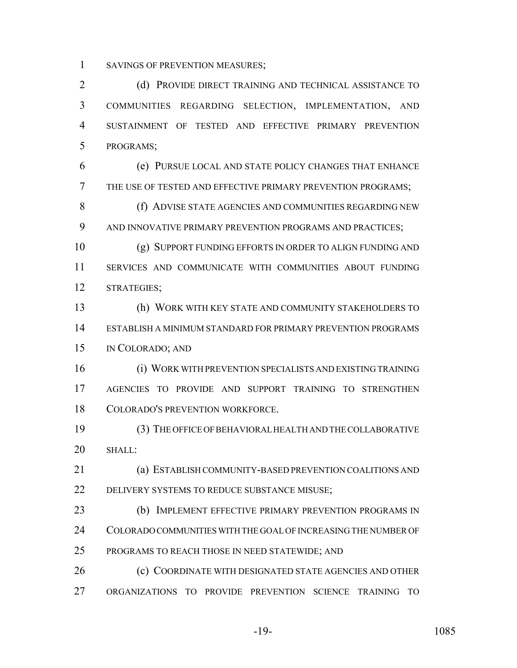SAVINGS OF PREVENTION MEASURES;

2 (d) PROVIDE DIRECT TRAINING AND TECHNICAL ASSISTANCE TO COMMUNITIES REGARDING SELECTION, IMPLEMENTATION, AND SUSTAINMENT OF TESTED AND EFFECTIVE PRIMARY PREVENTION PROGRAMS;

 (e) PURSUE LOCAL AND STATE POLICY CHANGES THAT ENHANCE THE USE OF TESTED AND EFFECTIVE PRIMARY PREVENTION PROGRAMS;

8 (f) ADVISE STATE AGENCIES AND COMMUNITIES REGARDING NEW AND INNOVATIVE PRIMARY PREVENTION PROGRAMS AND PRACTICES;

 (g) SUPPORT FUNDING EFFORTS IN ORDER TO ALIGN FUNDING AND SERVICES AND COMMUNICATE WITH COMMUNITIES ABOUT FUNDING STRATEGIES;

 (h) WORK WITH KEY STATE AND COMMUNITY STAKEHOLDERS TO ESTABLISH A MINIMUM STANDARD FOR PRIMARY PREVENTION PROGRAMS IN COLORADO; AND

 (i) WORK WITH PREVENTION SPECIALISTS AND EXISTING TRAINING AGENCIES TO PROVIDE AND SUPPORT TRAINING TO STRENGTHEN COLORADO'S PREVENTION WORKFORCE.

 (3) THE OFFICE OF BEHAVIORAL HEALTH AND THE COLLABORATIVE SHALL:

 (a) ESTABLISH COMMUNITY-BASED PREVENTION COALITIONS AND DELIVERY SYSTEMS TO REDUCE SUBSTANCE MISUSE;

 (b) IMPLEMENT EFFECTIVE PRIMARY PREVENTION PROGRAMS IN COLORADO COMMUNITIES WITH THE GOAL OF INCREASING THE NUMBER OF PROGRAMS TO REACH THOSE IN NEED STATEWIDE; AND

 (c) COORDINATE WITH DESIGNATED STATE AGENCIES AND OTHER ORGANIZATIONS TO PROVIDE PREVENTION SCIENCE TRAINING TO